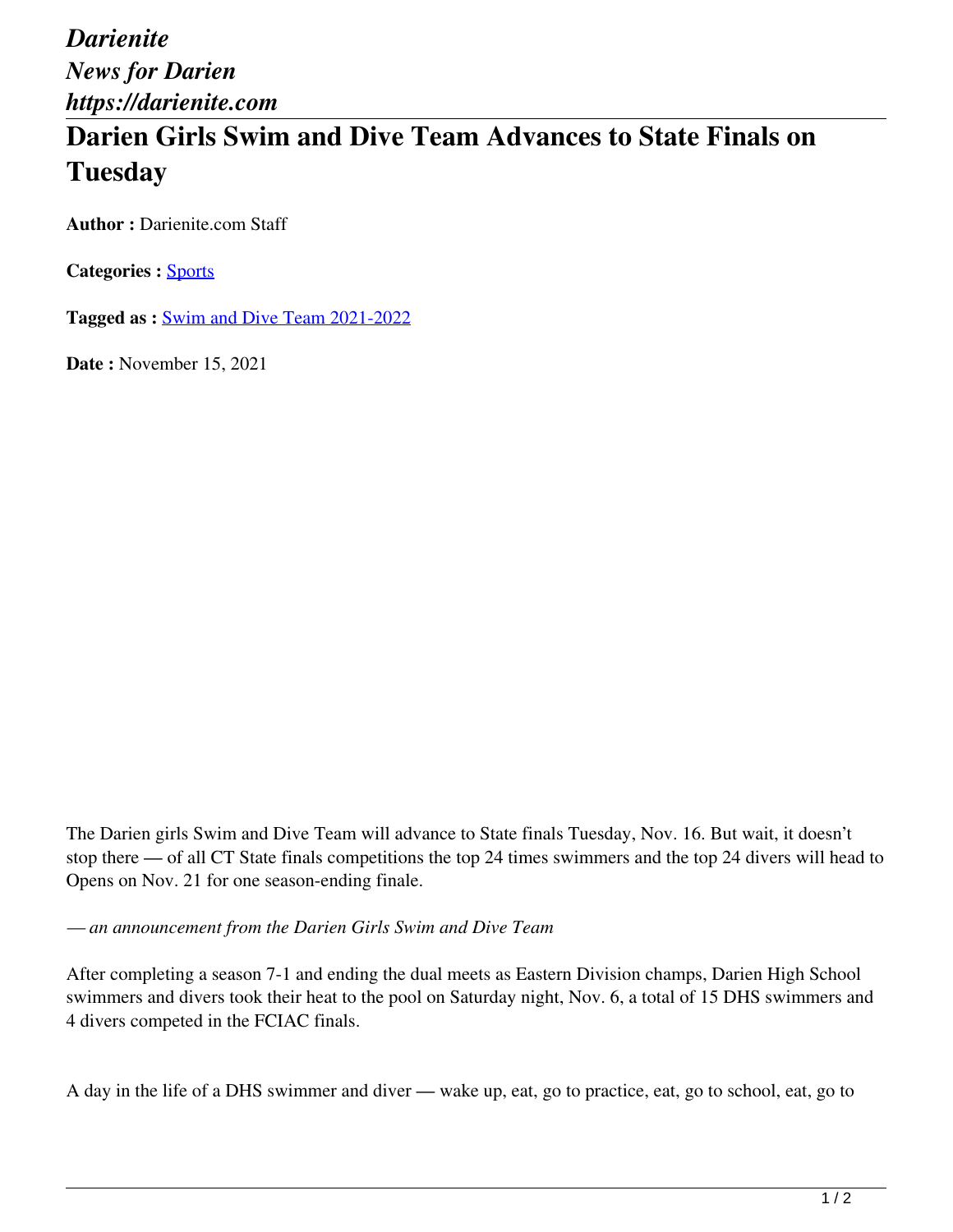*Darienite News for Darien https://darienite.com*

## **Darien Girls Swim and Dive Team Advances to State Finals on Tuesday**

**Author :** Darienite.com Staff

**Categories :** [Sports](https://darienite.com/category/sports)

**Tagged as :** Swim and Dive Team 2021-2022

**Date :** November 15, 2021

The Darien girls Swim and Dive Team will advance to State finals Tuesday, Nov. 16. But wait, it doesn't stop there — of all CT State finals competitions the top 24 times swimmers and the top 24 divers will head to Opens on Nov. 21 for one season-ending finale.

*— an announcement from the Darien Girls Swim and Dive Team*

After completing a season 7-1 and ending the dual meets as Eastern Division champs, Darien High School swimmers and divers took their heat to the pool on Saturday night, Nov. 6, a total of 15 DHS swimmers and 4 divers competed in the FCIAC finals.

A day in the life of a DHS swimmer and diver — wake up, eat, go to practice, eat, go to school, eat, go to